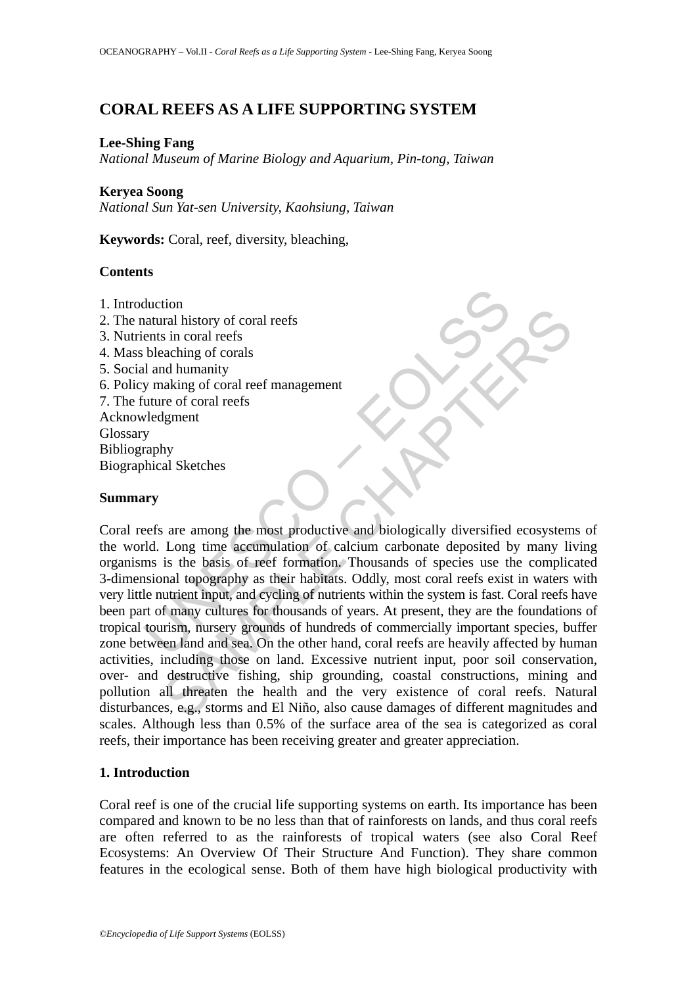# **CORAL REEFS AS A LIFE SUPPORTING SYSTEM**

### **Lee-Shing Fang**

*National Museum of Marine Biology and Aquarium, Pin-tong, Taiwan* 

### **Keryea Soong**

*National Sun Yat-sen University, Kaohsiung, Taiwan* 

**Keywords:** Coral, reef, diversity, bleaching,

### **Contents**

- 1. Introduction
- 2. The natural history of coral reefs
- 3. Nutrients in coral reefs
- 4. Mass bleaching of corals
- 5. Social and humanity
- 6. Policy making of coral reef management
- 7. The future of coral reefs
- Acknowledgment Glossary Bibliography Biographical Sketches

## **Summary**

UNESCO – EOLSS Figure 1.1<br>
That internal internal internal internal internal internal internal internal and humanity<br>
and alumanity<br>
al Sketches<br>
Eng time accumulation of calcium carbonate deposited by many lis<br>
is the basis of reef form Coral reefs are among the most productive and biologically diversified ecosystems of the world. Long time accumulation of calcium carbonate deposited by many living organisms is the basis of reef formation. Thousands of species use the complicated 3-dimensional topography as their habitats. Oddly, most coral reefs exist in waters with very little nutrient input, and cycling of nutrients within the system is fast. Coral reefs have been part of many cultures for thousands of years. At present, they are the foundations of tropical tourism, nursery grounds of hundreds of commercially important species, buffer zone between land and sea. On the other hand, coral reefs are heavily affected by human activities, including those on land. Excessive nutrient input, poor soil conservation, over- and destructive fishing, ship grounding, coastal constructions, mining and pollution all threaten the health and the very existence of coral reefs. Natural disturbances, e.g., storms and El Niño, also cause damages of different magnitudes and scales. Although less than 0.5% of the surface area of the sea is categorized as coral reefs, their importance has been receiving greater and greater appreciation.

## **1. Introduction**

Coral reef is one of the crucial life supporting systems on earth. Its importance has been compared and known to be no less than that of rainforests on lands, and thus coral reefs are often referred to as the rainforests of tropical waters (see also Coral Reef Ecosystems: An Overview Of Their Structure And Function). They share common features in the ecological sense. Both of them have high biological productivity with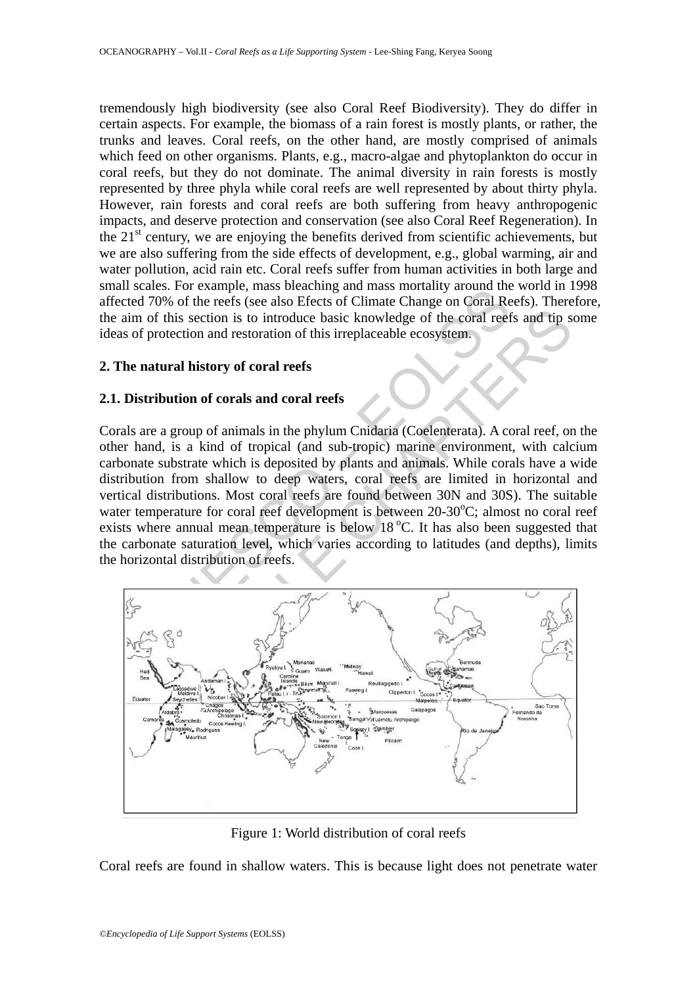tremendously high biodiversity (see also Coral Reef Biodiversity). They do differ in certain aspects. For example, the biomass of a rain forest is mostly plants, or rather, the trunks and leaves. Coral reefs, on the other hand, are mostly comprised of animals which feed on other organisms. Plants, e.g., macro-algae and phytoplankton do occur in coral reefs, but they do not dominate. The animal diversity in rain forests is mostly represented by three phyla while coral reefs are well represented by about thirty phyla. However, rain forests and coral reefs are both suffering from heavy anthropogenic impacts, and deserve protection and conservation (see also Coral Reef Regeneration). In the  $21<sup>st</sup>$  century, we are enjoying the benefits derived from scientific achievements, but we are also suffering from the side effects of development, e.g., global warming, air and water pollution, acid rain etc. Coral reefs suffer from human activities in both large and small scales. For example, mass bleaching and mass mortality around the world in 1998 affected 70% of the reefs (see also Efects of Climate Change on Coral Reefs). Therefore, the aim of this section is to introduce basic knowledge of the coral reefs and tip some ideas of protection and restoration of this irreplaceable ecosystem.

# **2. The natural history of coral reefs**

# **2.1. Distribution of corals and coral reefs**

alses. For example, mass becausing and mass mortany about and<br>170% of the reefs (see also Efects of Climate Change on Coral Re<br>of this section is to introduce basic knowledge of the coral reef<br>protection and restoration of Corals are a group of animals in the phylum Cnidaria (Coelenterata). A coral reef, on the other hand, is a kind of tropical (and sub-tropic) marine environment, with calcium carbonate substrate which is deposited by plants and animals. While corals have a wide distribution from shallow to deep waters, coral reefs are limited in horizontal and vertical distributions. Most coral reefs are found between 30N and 30S). The suitable water temperature for coral reef development is between 20-30°C; almost no coral reef exists where annual mean temperature is below  $18\degree C$ . It has also been suggested that the carbonate saturation level, which varies according to latitudes (and depths), limits the horizontal distribution of reefs.



Figure 1: World distribution of coral reefs

Coral reefs are found in shallow waters. This is because light does not penetrate water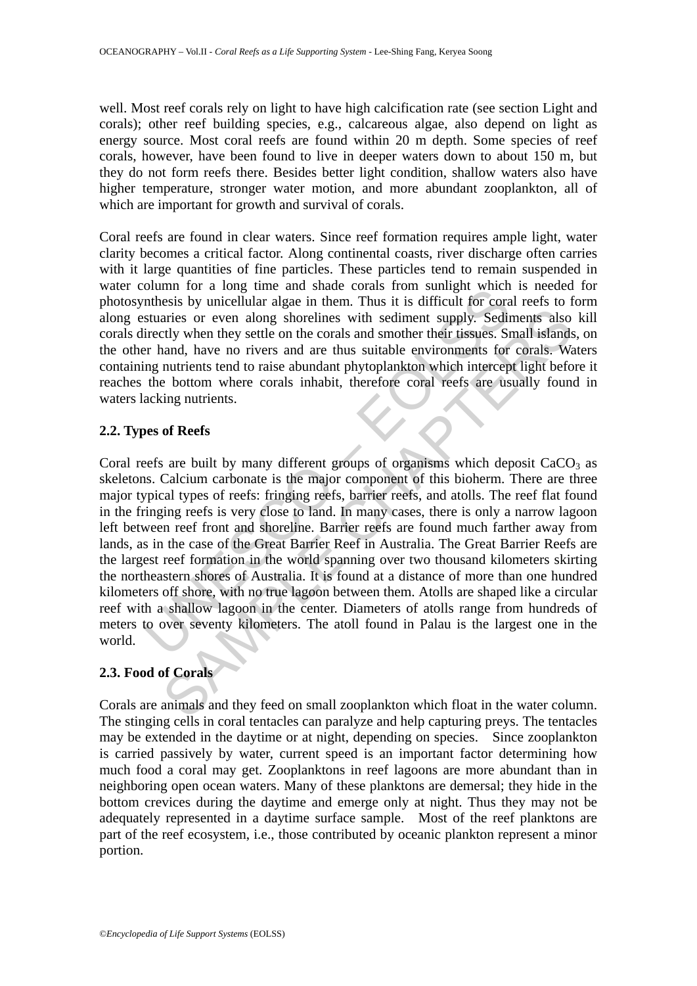well. Most reef corals rely on light to have high calcification rate (see section Light and corals); other reef building species, e.g., calcareous algae, also depend on light as energy source. Most coral reefs are found within 20 m depth. Some species of reef corals, however, have been found to live in deeper waters down to about 150 m, but they do not form reefs there. Besides better light condition, shallow waters also have higher temperature, stronger water motion, and more abundant zooplankton, all of which are important for growth and survival of corals.

Coral reefs are found in clear waters. Since reef formation requires ample light, water clarity becomes a critical factor. Along continental coasts, river discharge often carries with it large quantities of fine particles. These particles tend to remain suspended in water column for a long time and shade corals from sunlight which is needed for photosynthesis by unicellular algae in them. Thus it is difficult for coral reefs to form along estuaries or even along shorelines with sediment supply. Sediments also kill corals directly when they settle on the corals and smother their tissues. Small islands, on the other hand, have no rivers and are thus suitable environments for corals. Waters containing nutrients tend to raise abundant phytoplankton which intercept light before it reaches the bottom where corals inhabit, therefore coral reefs are usually found in waters lacking nutrients.

# **2.2. Types of Reefs**

ordinal for a long unit and share and share cotats non summy to the and state contain on the method in the state or even along shorelines with sediment supply. Sedifficedly when they settle on the corals and smother their aries or even along shorelines with sediment supply. Sediments also<br>aries or even along shorelines with sediment supply. Sediments also<br>city when they settle on the corals and smother their tissues. Small islands<br>and, have Coral reefs are built by many different groups of organisms which deposit  $CaCO<sub>3</sub>$  as skeletons. Calcium carbonate is the major component of this bioherm. There are three major typical types of reefs: fringing reefs, barrier reefs, and atolls. The reef flat found in the fringing reefs is very close to land. In many cases, there is only a narrow lagoon left between reef front and shoreline. Barrier reefs are found much farther away from lands, as in the case of the Great Barrier Reef in Australia. The Great Barrier Reefs are the largest reef formation in the world spanning over two thousand kilometers skirting the northeastern shores of Australia. It is found at a distance of more than one hundred kilometers off shore, with no true lagoon between them. Atolls are shaped like a circular reef with a shallow lagoon in the center. Diameters of atolls range from hundreds of meters to over seventy kilometers. The atoll found in Palau is the largest one in the world.

# **2.3. Food of Corals**

Corals are animals and they feed on small zooplankton which float in the water column. The stinging cells in coral tentacles can paralyze and help capturing preys. The tentacles may be extended in the daytime or at night, depending on species. Since zooplankton is carried passively by water, current speed is an important factor determining how much food a coral may get. Zooplanktons in reef lagoons are more abundant than in neighboring open ocean waters. Many of these planktons are demersal; they hide in the bottom crevices during the daytime and emerge only at night. Thus they may not be adequately represented in a daytime surface sample. Most of the reef planktons are part of the reef ecosystem, i.e., those contributed by oceanic plankton represent a minor portion.